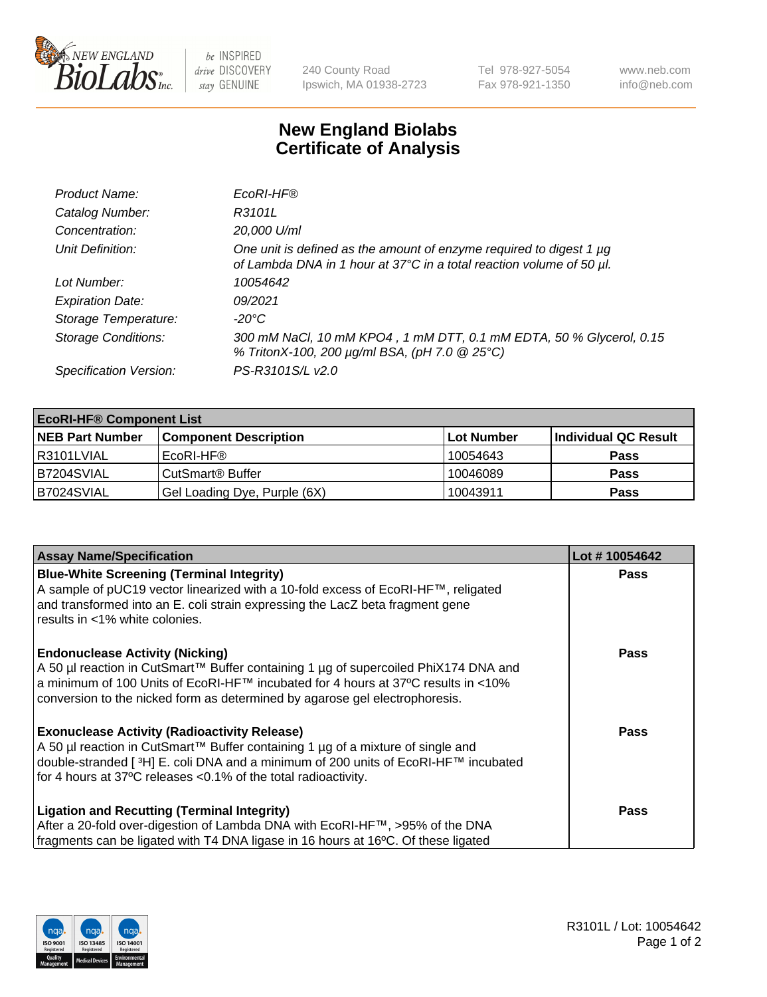

 $be$  INSPIRED drive DISCOVERY stay GENUINE

240 County Road Ipswich, MA 01938-2723 Tel 978-927-5054 Fax 978-921-1350 www.neb.com info@neb.com

## **New England Biolabs Certificate of Analysis**

| Product Name:              | EcoRI-HF®                                                                                                                                   |
|----------------------------|---------------------------------------------------------------------------------------------------------------------------------------------|
| Catalog Number:            | R3101L                                                                                                                                      |
| Concentration:             | 20,000 U/ml                                                                                                                                 |
| Unit Definition:           | One unit is defined as the amount of enzyme required to digest 1 µg<br>of Lambda DNA in 1 hour at 37°C in a total reaction volume of 50 µl. |
| Lot Number:                | 10054642                                                                                                                                    |
| <b>Expiration Date:</b>    | 09/2021                                                                                                                                     |
| Storage Temperature:       | -20°C                                                                                                                                       |
| <b>Storage Conditions:</b> | 300 mM NaCl, 10 mM KPO4, 1 mM DTT, 0.1 mM EDTA, 50 % Glycerol, 0.15<br>% TritonX-100, 200 µg/ml BSA, (pH 7.0 @ 25°C)                        |
| Specification Version:     | PS-R3101S/L v2.0                                                                                                                            |

| <b>EcoRI-HF® Component List</b> |                              |            |                      |  |  |
|---------------------------------|------------------------------|------------|----------------------|--|--|
| <b>NEB Part Number</b>          | <b>Component Description</b> | Lot Number | Individual QC Result |  |  |
| I R3101LVIAL                    | EcoRI-HF®                    | 10054643   | <b>Pass</b>          |  |  |
| IB7204SVIAL                     | CutSmart <sup>®</sup> Buffer | 10046089   | <b>Pass</b>          |  |  |
| B7024SVIAL                      | Gel Loading Dye, Purple (6X) | 10043911   | <b>Pass</b>          |  |  |

| <b>Assay Name/Specification</b>                                                                                                                                                                                                                                                                               | Lot #10054642 |
|---------------------------------------------------------------------------------------------------------------------------------------------------------------------------------------------------------------------------------------------------------------------------------------------------------------|---------------|
| <b>Blue-White Screening (Terminal Integrity)</b><br>A sample of pUC19 vector linearized with a 10-fold excess of EcoRI-HF™, religated<br>and transformed into an E. coli strain expressing the LacZ beta fragment gene<br>results in <1% white colonies.                                                      | <b>Pass</b>   |
| <b>Endonuclease Activity (Nicking)</b><br>A 50 µl reaction in CutSmart™ Buffer containing 1 µg of supercoiled PhiX174 DNA and<br>  a minimum of 100 Units of EcoRI-HF™ incubated for 4 hours at 37°C results in <10%<br>conversion to the nicked form as determined by agarose gel electrophoresis.           | <b>Pass</b>   |
| <b>Exonuclease Activity (Radioactivity Release)</b><br>  A 50 µl reaction in CutSmart™ Buffer containing 1 µg of a mixture of single and<br>double-stranded [ <sup>3</sup> H] E. coli DNA and a minimum of 200 units of EcoRI-HF™ incubated<br>for 4 hours at 37°C releases <0.1% of the total radioactivity. | Pass          |
| <b>Ligation and Recutting (Terminal Integrity)</b><br>After a 20-fold over-digestion of Lambda DNA with EcoRI-HF™, >95% of the DNA<br>fragments can be ligated with T4 DNA ligase in 16 hours at 16°C. Of these ligated                                                                                       | <b>Pass</b>   |